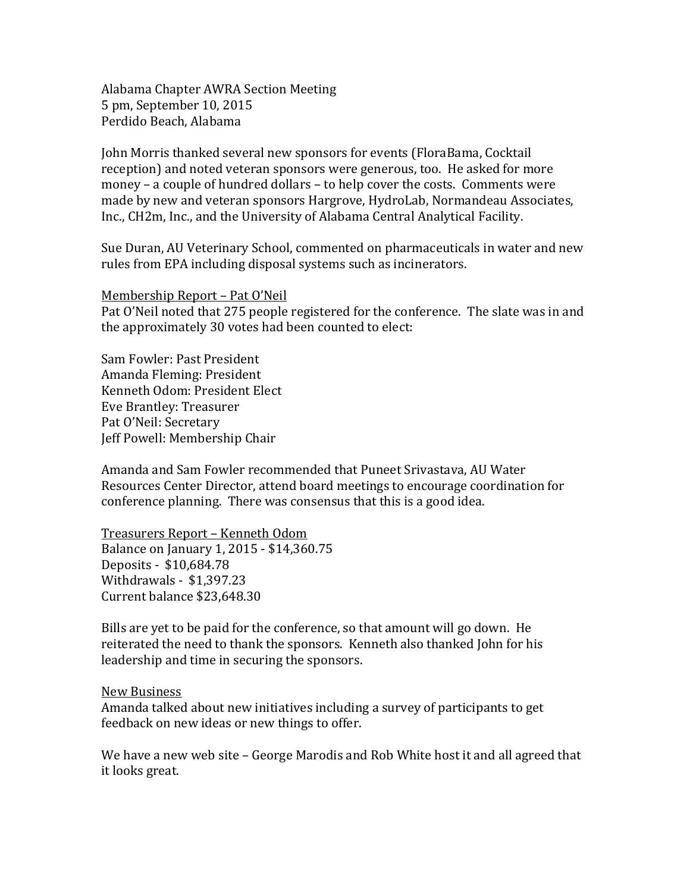Alabama Chapter AWRA Section Meeting 5 pm, September 10, 2015 Perdido Beach, Alabama

John Morris thanked several new sponsors for events (FloraBama, Cocktail reception) and noted veteran sponsors were generous, too. He asked for more money – a couple of hundred dollars – to help cover the costs. Comments were made by new and veteran sponsors Hargrove, HydroLab, Normandeau Associates, Inc., CH2m, Inc., and the University of Alabama Central Analytical Facility.

Sue Duran, AU Veterinary School, commented on pharmaceuticals in water and new rules from EPA including disposal systems such as incinerators.

Membership Report – Pat O'Neil

Pat O'Neil noted that 275 people registered for the conference. The slate was in and the approximately 30 votes had been counted to elect:

Sam Fowler: Past President Amanda Fleming: President Kenneth Odom: President Elect Eve Brantley: Treasurer Pat O'Neil: Secretary Jeff Powell: Membership Chair

Amanda and Sam Fowler recommended that Puneet Srivastava, AU Water Resources Center Director, attend board meetings to encourage coordination for conference planning. There was consensus that this is a good idea.

Treasurers Report – Kenneth Odom Balance on January 1, 2015 - \$14,360.75 Deposits - \$10,684.78 Withdrawals - \$1,397.23 Current balance \$23,648.30

Bills are yet to be paid for the conference, so that amount will go down. He reiterated the need to thank the sponsors. Kenneth also thanked John for his leadership and time in securing the sponsors.

New Business

Amanda talked about new initiatives including a survey of participants to get feedback on new ideas or new things to offer.

We have a new web site – George Marodis and Rob White host it and all agreed that it looks great.